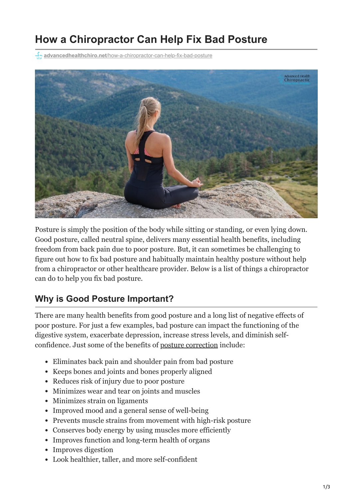# **How a Chiropractor Can Help Fix Bad Posture**

**advancedhealthchiro.net**[/how-a-chiropractor-can-help-fix-bad-posture](https://advancedhealthchiro.net/how-a-chiropractor-can-help-fix-bad-posture/)



Posture is simply the position of the body while sitting or standing, or even lying down. Good posture, called neutral spine, delivers many essential health benefits, including freedom from back pain due to poor posture. But, it can sometimes be challenging to figure out how to fix bad posture and habitually maintain healthy posture without help from a chiropractor or other healthcare provider. Below is a list of things a chiropractor can do to help you fix bad posture.

## **Why is Good Posture Important?**

There are many health benefits from good posture and a long list of negative effects of poor posture. For just a few examples, bad posture can impact the functioning of the digestive system, exacerbate depression, increase stress levels, and diminish selfconfidence. Just some of the benefits of [posture correction](https://advancedhealthchiro.net/our-services/chiropractic-care/) include:

- Eliminates back pain and shoulder pain from bad posture
- Keeps bones and joints and bones properly aligned
- Reduces risk of injury due to poor posture
- Minimizes wear and tear on joints and muscles
- Minimizes strain on ligaments
- Improved mood and a general sense of well-being
- Prevents muscle strains from movement with high-risk posture
- Conserves body energy by using muscles more efficiently
- Improves function and long-term health of organs
- Improves digestion
- Look healthier, taller, and more self-confident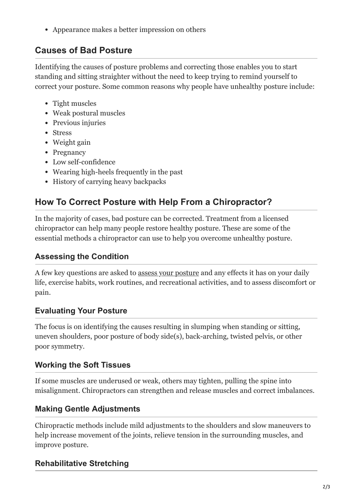Appearance makes a better impression on others

## **Causes of Bad Posture**

Identifying the causes of posture problems and correcting those enables you to start standing and sitting straighter without the need to keep trying to remind yourself to correct your posture. Some common reasons why people have unhealthy posture include:

- Tight muscles
- Weak postural muscles
- Previous injuries
- Stress
- Weight gain
- Pregnancy
- Low self-confidence
- Wearing high-heels frequently in the past
- History of carrying heavy backpacks

## **How To Correct Posture with Help From a Chiropractor?**

In the majority of cases, bad posture can be corrected. Treatment from a licensed chiropractor can help many people restore healthy posture. These are some of the essential methods a chiropractor can use to help you overcome unhealthy posture.

### **Assessing the Condition**

A few key questions are asked to [assess your posture](https://advancedhealthchiro.net/our-services/spinal-postural-screenings/) and any effects it has on your daily life, exercise habits, work routines, and recreational activities, and to assess discomfort or pain.

### **Evaluating Your Posture**

The focus is on identifying the causes resulting in slumping when standing or sitting, uneven shoulders, poor posture of body side(s), back-arching, twisted pelvis, or other poor symmetry.

### **Working the Soft Tissues**

If some muscles are underused or weak, others may tighten, pulling the spine into misalignment. Chiropractors can strengthen and release muscles and correct imbalances.

## **Making Gentle Adjustments**

Chiropractic methods include mild adjustments to the shoulders and slow maneuvers to help increase movement of the joints, relieve tension in the surrounding muscles, and improve posture.

## **Rehabilitative Stretching**